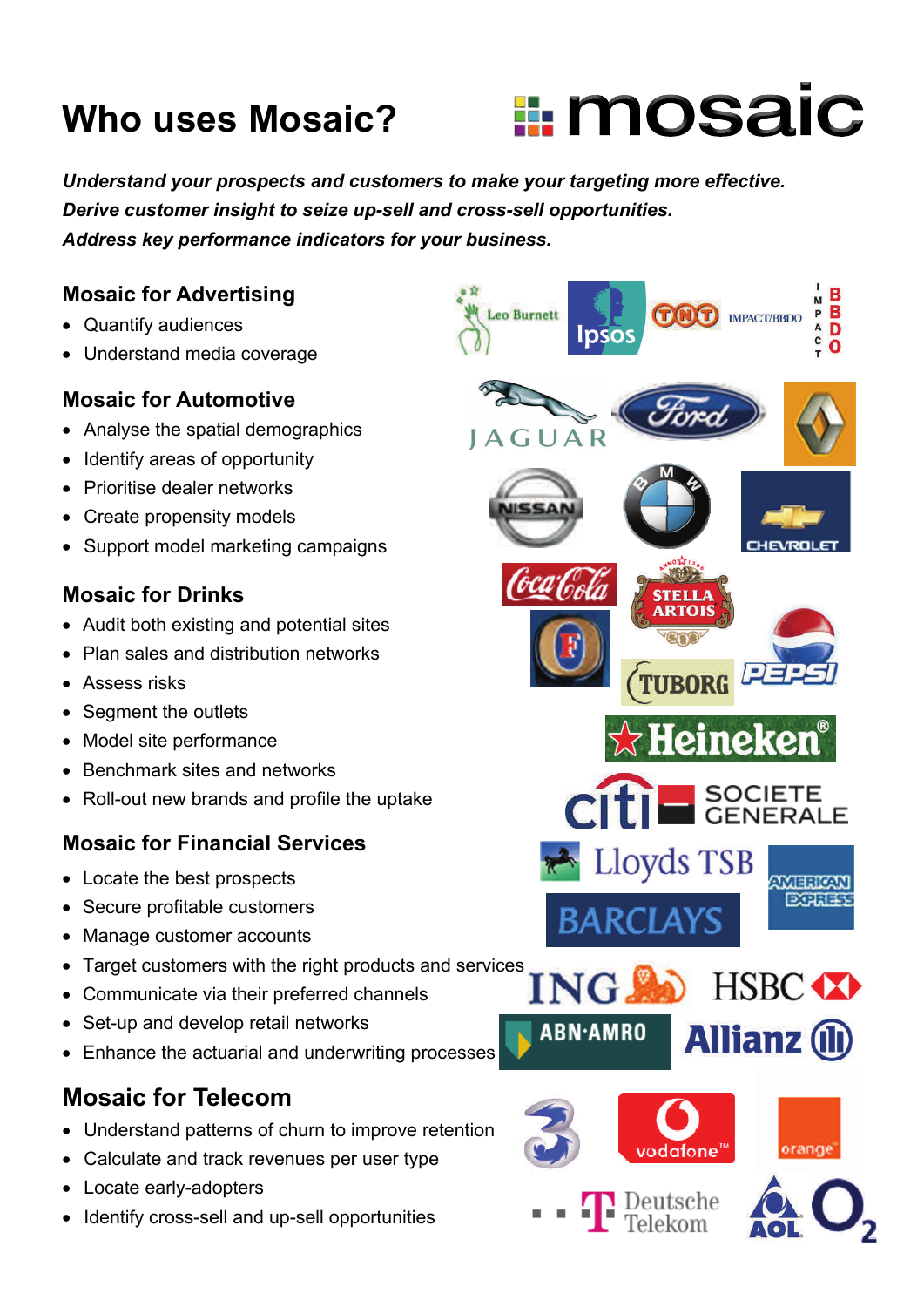# **Who uses Mosaic?**



*Understand your prospects and customers to make your targeting more effective. Derive customer insight to seize up-sell and cross-sell opportunities. Address key performance indicators for your business.* 

#### **Mosaic for Advertising**

- Quantify audiences
- Understand media coverage

#### **Mosaic for Automotive**

- Analyse the spatial demographics
- Identify areas of opportunity
- Prioritise dealer networks
- Create propensity models
- Support model marketing campaigns

#### **Mosaic for Drinks**

- Audit both existing and potential sites
- Plan sales and distribution networks
- **Assess risks**
- Segment the outlets
- Model site performance
- Benchmark sites and networks
- Roll-out new brands and profile the uptake

### **Mosaic for Financial Services**

- Locate the best prospects
- Secure profitable customers
- Manage customer accounts
- Target customers with the right products and services
- Communicate via their preferred channels
- Set-up and develop retail networks
- Enhance the actuarial and underwriting processes

# **Mosaic for Telecom**

- Understand patterns of churn to improve retention
- Calculate and track revenues per user type
- Locate early-adopters
- Identify cross-sell and up-sell opportunities